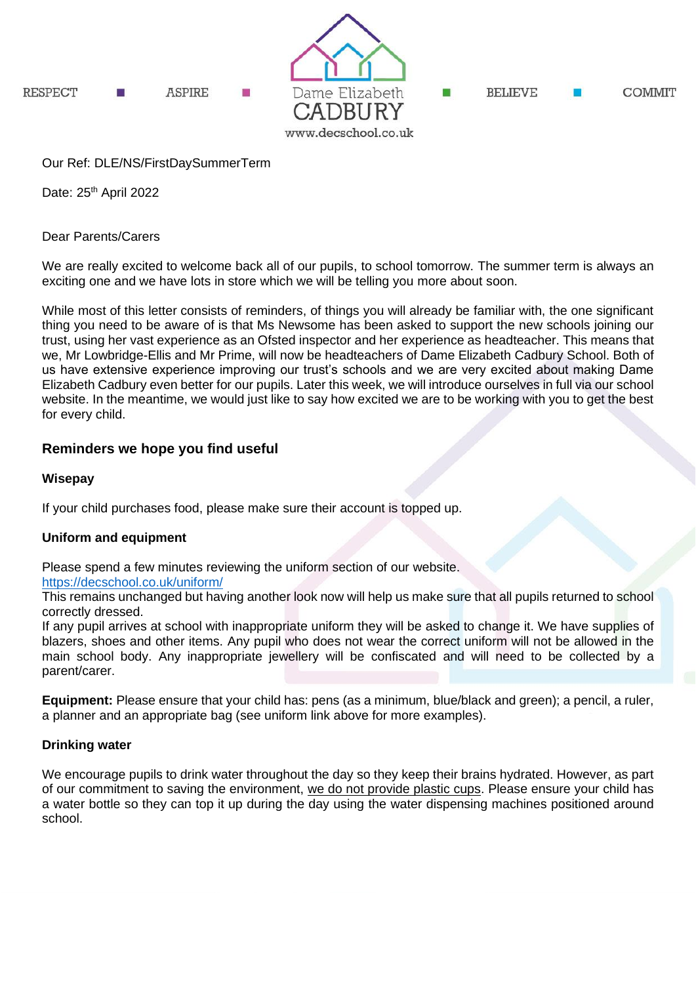

# Our Ref: DLE/NS/FirstDaySummerTerm

Date: 25<sup>th</sup> April 2022

Dear Parents/Carers

We are really excited to welcome back all of our pupils, to school tomorrow. The summer term is always an exciting one and we have lots in store which we will be telling you more about soon.

While most of this letter consists of reminders, of things you will already be familiar with, the one significant thing you need to be aware of is that Ms Newsome has been asked to support the new schools joining our trust, using her vast experience as an Ofsted inspector and her experience as headteacher. This means that we, Mr Lowbridge-Ellis and Mr Prime, will now be headteachers of Dame Elizabeth Cadbury School. Both of us have extensive experience improving our trust's schools and we are very excited about making Dame Elizabeth Cadbury even better for our pupils. Later this week, we will introduce ourselves in full via our school website. In the meantime, we would just like to say how excited we are to be working with you to get the best for every child.

# **Reminders we hope you find useful**

### **Wisepay**

If your child purchases food, please make sure their account is topped up.

# **Uniform and equipment**

Please spend a few minutes reviewing the uniform section of our website.

#### <https://decschool.co.uk/uniform/>

This remains unchanged but having another look now will help us make sure that all pupils returned to school correctly dressed.

If any pupil arrives at school with inappropriate uniform they will be asked to change it. We have supplies of blazers, shoes and other items. Any pupil who does not wear the correct uniform will not be allowed in the main school body. Any inappropriate jewellery will be confiscated and will need to be collected by a parent/carer.

**Equipment:** Please ensure that your child has: pens (as a minimum, blue/black and green); a pencil, a ruler, a planner and an appropriate bag (see uniform link above for more examples).

#### **Drinking water**

We encourage pupils to drink water throughout the day so they keep their brains hydrated. However, as part of our commitment to saving the environment, we do not provide plastic cups. Please ensure your child has a water bottle so they can top it up during the day using the water dispensing machines positioned around school.